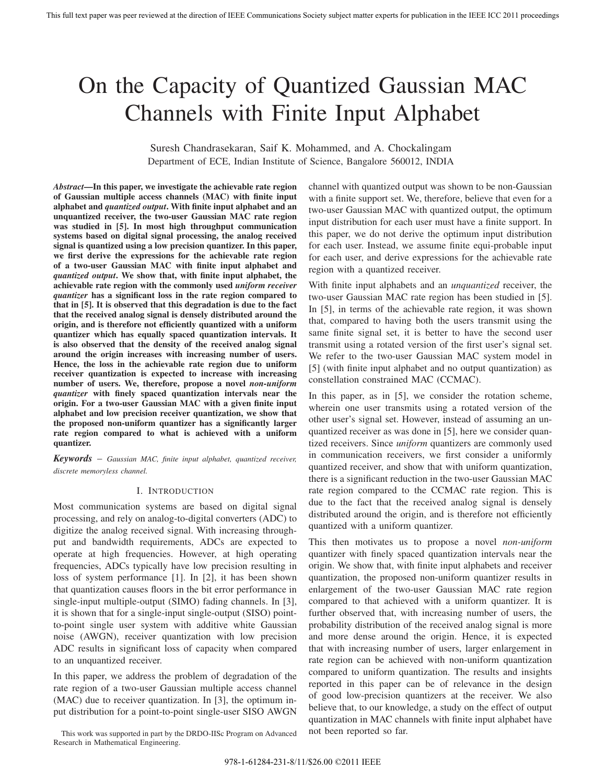# On the Capacity of Quantized Gaussian MAC Channels with Finite Input Alphabet

Suresh Chandrasekaran, Saif K. Mohammed, and A. Chockalingam Department of ECE, Indian Institute of Science, Bangalore 560012, INDIA

*Abstract***—In this paper, we investigate the achievable rate region of Gaussian multiple access channels (MAC) with finite input alphabet and** *quantized output***. With finite input alphabet and an unquantized receiver, the two-user Gaussian MAC rate region was studied in [5]. In most high throughput communication systems based on digital signal processing, the analog received signal is quantized using a low precision quantizer. In this paper, we first derive the expressions for the achievable rate region of a two-user Gaussian MAC with finite input alphabet and** *quantized output***. We show that, with finite input alphabet, the achievable rate region with the commonly used** *uniform receiver quantizer* **has a significant loss in the rate region compared to that in [5]. It is observed that this degradation is due to the fact that the received analog signal is densely distributed around the origin, and is therefore not efficiently quantized with a uniform quantizer which has equally spaced quantization intervals. It is also observed that the density of the received analog signal around the origin increases with increasing number of users. Hence, the loss in the achievable rate region due to uniform receiver quantization is expected to increase with increasing number of users. We, therefore, propose a novel** *non-uniform quantizer* **with finely spaced quantization intervals near the origin. For a two-user Gaussian MAC with a given finite input alphabet and low precision receiver quantization, we show that the proposed non-uniform quantizer has a significantly larger rate region compared to what is achieved with a uniform quantizer.**

*Keywords* – *Gaussian MAC, finite input alphabet, quantized receiver, discrete memoryless channel.*

## I. INTRODUCTION

Most communication systems are based on digital signal processing, and rely on analog-to-digital converters (ADC) to digitize the analog received signal. With increasing throughput and bandwidth requirements, ADCs are expected to operate at high frequencies. However, at high operating frequencies, ADCs typically have low precision resulting in loss of system performance [1]. In [2], it has been shown that quantization causes floors in the bit error performance in single-input multiple-output (SIMO) fading channels. In [3], it is shown that for a single-input single-output (SISO) pointto-point single user system with additive white Gaussian noise (AWGN), receiver quantization with low precision ADC results in significant loss of capacity when compared to an unquantized receiver.

In this paper, we address the problem of degradation of the rate region of a two-user Gaussian multiple access channel (MAC) due to receiver quantization. In [3], the optimum input distribution for a point-to-point single-user SISO AWGN

This work was supported in part by the DRDO-IISc Program on Advanced Research in Mathematical Engineering.

channel with quantized output was shown to be non-Gaussian with a finite support set. We, therefore, believe that even for a two-user Gaussian MAC with quantized output, the optimum input distribution for each user must have a finite support. In this paper, we do not derive the optimum input distribution for each user. Instead, we assume finite equi-probable input for each user, and derive expressions for the achievable rate region with a quantized receiver.

With finite input alphabets and an *unquantized* receiver, the two-user Gaussian MAC rate region has been studied in [5]. In [5], in terms of the achievable rate region, it was shown that, compared to having both the users transmit using the same finite signal set, it is better to have the second user transmit using a rotated version of the first user's signal set. We refer to the two-user Gaussian MAC system model in [5] (with finite input alphabet and no output quantization) as constellation constrained MAC (CCMAC).

In this paper, as in [5], we consider the rotation scheme, wherein one user transmits using a rotated version of the other user's signal set. However, instead of assuming an unquantized receiver as was done in [5], here we consider quantized receivers. Since *uniform* quantizers are commonly used in communication receivers, we first consider a uniformly quantized receiver, and show that with uniform quantization, there is a significant reduction in the two-user Gaussian MAC rate region compared to the CCMAC rate region. This is due to the fact that the received analog signal is densely distributed around the origin, and is therefore not efficiently quantized with a uniform quantizer.

This then motivates us to propose a novel *non-uniform* quantizer with finely spaced quantization intervals near the origin. We show that, with finite input alphabets and receiver quantization, the proposed non-uniform quantizer results in enlargement of the two-user Gaussian MAC rate region compared to that achieved with a uniform quantizer. It is further observed that, with increasing number of users, the probability distribution of the received analog signal is more and more dense around the origin. Hence, it is expected that with increasing number of users, larger enlargement in rate region can be achieved with non-uniform quantization compared to uniform quantization. The results and insights reported in this paper can be of relevance in the design of good low-precision quantizers at the receiver. We also believe that, to our knowledge, a study on the effect of output quantization in MAC channels with finite input alphabet have not been reported so far.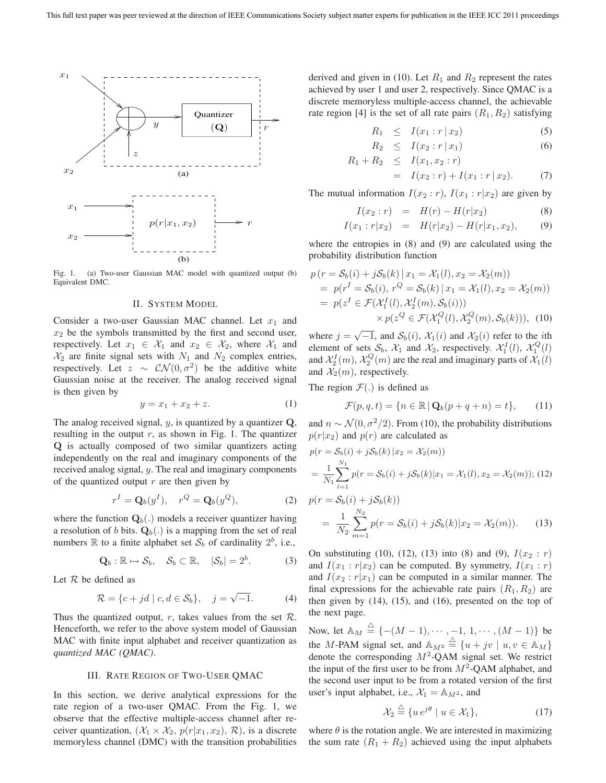

Fig. 1. (a) Two-user Gaussian MAC model with quantized output (b) Equivalent DMC.

## II. SYSTEM MODEL

Consider a two-user Gaussian MAC channel. Let  $x_1$  and  $x_2$  be the symbols transmitted by the first and second user, respectively. Let  $x_1 \in \mathcal{X}_1$  and  $x_2 \in \mathcal{X}_2$ , where  $\mathcal{X}_1$  and  $\mathcal{X}_2$  are finite signal sets with  $N_1$  and  $N_2$  complex entries, respectively. Let  $z \sim \mathcal{CN}(0, \sigma^2)$  be the additive white Gaussian noise at the receiver. The analog received signal is then given by

$$
y = x_1 + x_2 + z.
$$
 (1)

The analog received signal, y, is quantized by a quantizer **Q**, resulting in the output  $r$ , as shown in Fig. 1. The quantizer **Q** is actually composed of two similar quantizers acting independently on the real and imaginary components of the received analog signal, y. The real and imaginary components of the quantized output  $r$  are then given by

$$
r^I = \mathbf{Q}_b(y^I), \quad r^Q = \mathbf{Q}_b(y^Q), \tag{2}
$$

where the function  $\mathbf{Q}_b(.)$  models a receiver quantizer having a resolution of b bits.  $\mathbf{Q}_b(.)$  is a mapping from the set of real numbers  $\mathbb R$  to a finite alphabet set  $\mathcal{S}_b$  of cardinality  $2^b$ , i.e.,

$$
\mathbf{Q}_b: \mathbb{R} \mapsto \mathcal{S}_b, \quad \mathcal{S}_b \subset \mathbb{R}, \quad |\mathcal{S}_b| = 2^b. \tag{3}
$$

Let  $R$  be defined as

$$
\mathcal{R} = \{c + jd \mid c, d \in \mathcal{S}_b\}, \quad j = \sqrt{-1}.\tag{4}
$$

Thus the quantized output, r, takes values from the set  $\mathcal{R}$ . Henceforth, we refer to the above system model of Gaussian MAC with finite input alphabet and receiver quantization as *quantized MAC (QMAC)*.

## III. RATE REGION OF TWO-USER QMAC

In this section, we derive analytical expressions for the rate region of a two-user QMAC. From the Fig. 1, we observe that the effective multiple-access channel after receiver quantization,  $(\mathcal{X}_1 \times \mathcal{X}_2, p(r|x_1, x_2), \mathcal{R})$ , is a discrete memoryless channel (DMC) with the transition probabilities

derived and given in (10). Let  $R_1$  and  $R_2$  represent the rates achieved by user 1 and user 2, respectively. Since QMAC is a discrete memoryless multiple-access channel, the achievable rate region [4] is the set of all rate pairs  $(R_1, R_2)$  satisfying

$$
R_1 \leq I(x_1 : r | x_2) \tag{5}
$$

$$
R_2 \leq I(x_2 : r \mid x_1) \tag{6}
$$

$$
R_1 + R_2 \leq I(x_1, x_2 : r)
$$
  
=  $I(x_2 : r) + I(x_1 : r | x_2).$  (7)

The mutual information  $I(x_2 : r)$ ,  $I(x_1 : r | x_2)$  are given by

$$
I(x_2:r) = H(r) - H(r|x_2)
$$
\n(8)

$$
I(x_1 : r | x_2) = H(r | x_2) - H(r | x_1, x_2), \qquad (9)
$$

where the entropies in (8) and (9) are calculated using the probability distribution function

$$
p (r = S_b(i) + jS_b(k) | x_1 = \mathcal{X}_1(l), x_2 = \mathcal{X}_2(m))
$$
  
=  $p(r^I = S_b(i), r^Q = S_b(k) | x_1 = \mathcal{X}_1(l), x_2 = \mathcal{X}_2(m))$   
=  $p(z^I \in \mathcal{F}(\mathcal{X}_1^I(l), \mathcal{X}_2^I(m), S_b(i)))$   
 $\times p(z^Q \in \mathcal{F}(\mathcal{X}_1^Q(l), \mathcal{X}_2^Q(m), S_b(k))),$  (10)

where  $j = \sqrt{-1}$ , and  $S_b(i)$ ,  $\mathcal{X}_1(i)$  and  $\mathcal{X}_2(i)$  refer to the *i*th element of sets  $S_b$ ,  $\mathcal{X}_1$  and  $\mathcal{X}_2$ , respectively.  $\mathcal{X}_1^I(l)$ ,  $\mathcal{X}_2^Q(l)$ <br>and  $\mathcal{X}_1^I(m)$ ,  $\mathcal{X}_2^Q(m)$  are the real and imaginary parts of  $\mathcal{X}_1(l)$ . and  $\mathcal{X}_2^I(m)$ ,  $\mathcal{X}_2^Q(m)$  are the real and imaginary parts of  $\mathcal{X}_1(l)$ <br>and  $\mathcal{X}_2(m)$  respectively and  $\mathcal{X}_2(m)$ , respectively.

The region  $\mathcal{F}(\cdot)$  is defined as

$$
\mathcal{F}(p,q,t) = \{ n \in \mathbb{R} \mid \mathbf{Q}_b(p+q+n) = t \},\qquad(11)
$$

and  $n \sim \mathcal{N}(0, \sigma^2/2)$ . From (10), the probability distributions  $p(r|x_2)$  and  $p(r)$  are calculated as

$$
p(r = S_b(i) + jS_b(k) | x_2 = X_2(m))
$$
  
=  $\frac{1}{N_1} \sum_{l=1}^{N_1} p(r = S_b(i) + jS_b(k) | x_1 = X_1(l), x_2 = X_2(m));$  (12)  
 $p(r = S_b(i) + jS_b(k))$ 

$$
= \frac{1}{N_2} \sum_{m=1}^{N_2} p(r = \mathcal{S}_b(i) + j\mathcal{S}_b(k)|x_2 = \mathcal{X}_2(m)). \tag{13}
$$

On substituting (10), (12), (13) into (8) and (9),  $I(x_2 : r)$ and  $I(x_1 : r | x_2)$  can be computed. By symmetry,  $I(x_1 : r)$ and  $I(x_2 : r | x_1)$  can be computed in a similar manner. The final expressions for the achievable rate pairs  $(R_1, R_2)$  are then given by (14), (15), and (16), presented on the top of the next page.

Now, let  $\mathbb{A}_M \stackrel{\triangle}{=} \{-(M-1), \cdots, -1, 1, \cdots, (M-1)\}$  be the M-PAM signal set, and  $\mathbb{A}_{M^2} \stackrel{\triangle}{=} \{u + jv \mid u, v \in \mathbb{A}_M\}$ <br>denote the corresponding  $M^2$ -OAM signal set. We restrict denote the corresponding  $M^2$ -QAM signal set. We restrict the input of the first user to be from  $M^2$ -QAM alphabet, and the second user input to be from a rotated version of the first user's input alphabet, i.e.,  $\mathcal{X}_1 = \mathbb{A}_{M^2}$ , and

$$
\mathcal{X}_2 \stackrel{\triangle}{=} \{ u \, e^{j\theta} \mid u \in \mathcal{X}_1 \},\tag{17}
$$

where  $\theta$  is the rotation angle. We are interested in maximizing the sum rate  $(R_1 + R_2)$  achieved using the input alphabets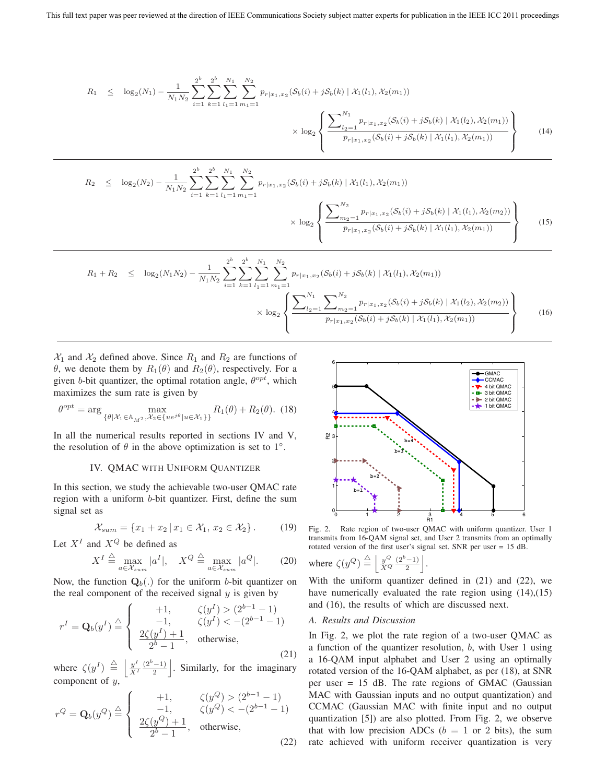$$
R_1 \leq \log_2(N_1) - \frac{1}{N_1 N_2} \sum_{i=1}^{2^b} \sum_{k=1}^{2^b} \sum_{l_1=1}^{N_1} \sum_{m_1=1}^{N_2} p_{r|x_1,x_2}(\mathcal{S}_b(i) + j\mathcal{S}_b(k) | \mathcal{X}_1(l_1), \mathcal{X}_2(m_1))
$$

$$
\times \log_2 \left\{ \frac{\sum_{l_2=1}^{N_1} p_{r|x_1,x_2}(\mathcal{S}_b(i) + j\mathcal{S}_b(k) | \mathcal{X}_1(l_2), \mathcal{X}_2(m_1))}{p_{r|x_1,x_2}(\mathcal{S}_b(i) + j\mathcal{S}_b(k) | \mathcal{X}_1(l_1), \mathcal{X}_2(m_1))} \right\}
$$
(14)

$$
R_2 \leq \log_2(N_2) - \frac{1}{N_1 N_2} \sum_{i=1}^{2^b} \sum_{k=1}^{N_1} \sum_{l_1=1}^{N_2} \frac{p_{r|x_1,x_2}(\mathcal{S}_b(i) + j\mathcal{S}_b(k) | \mathcal{X}_1(l_1), \mathcal{X}_2(m_1))}{\times \log_2 \left\{ \frac{\sum_{m_2=1}^{N_2} p_{r|x_1,x_2}(\mathcal{S}_b(i) + j\mathcal{S}_b(k) | \mathcal{X}_1(l_1), \mathcal{X}_2(m_2))}{p_{r|x_1,x_2}(\mathcal{S}_b(i) + j\mathcal{S}_b(k) | \mathcal{X}_1(l_1), \mathcal{X}_2(m_1))} \right\}
$$
(15)

$$
R_{1} + R_{2} \leq \log_{2}(N_{1}N_{2}) - \frac{1}{N_{1}N_{2}} \sum_{i=1}^{2^{b}} \sum_{k=1}^{2^{b}} \sum_{l_{1}=1}^{N_{1}} \sum_{m_{1}=1}^{N_{2}} p_{r|x_{1},x_{2}}(\mathcal{S}_{b}(i) + j\mathcal{S}_{b}(k) | \mathcal{X}_{1}(l_{1}), \mathcal{X}_{2}(m_{1}))
$$

$$
\times \log_{2} \left\{ \frac{\sum_{l_{2}=1}^{N_{1}} \sum_{m_{2}=1}^{N_{2}} p_{r|x_{1},x_{2}}(\mathcal{S}_{b}(i) + j\mathcal{S}_{b}(k) | \mathcal{X}_{1}(l_{2}), \mathcal{X}_{2}(m_{2}))}{p_{r|x_{1},x_{2}}(\mathcal{S}_{b}(i) + j\mathcal{S}_{b}(k) | \mathcal{X}_{1}(l_{1}), \mathcal{X}_{2}(m_{1}))} \right\}
$$
(16)

 $X_1$  and  $X_2$  defined above. Since  $R_1$  and  $R_2$  are functions of θ, we denote them by  $R_1(θ)$  and  $R_2(θ)$ , respectively. For a given b-bit quantizer, the optimal rotation angle,  $\theta^{opt}$ , which maximizes the sum rate is given by

$$
\theta^{opt} = \arg\max_{\{\theta | \mathcal{X}_1 \in \mathbb{A}_{M^2}, \mathcal{X}_2 \in \{ue^{j\theta} | u \in \mathcal{X}_1\}\}} R_1(\theta) + R_2(\theta). \tag{18}
$$

In all the numerical results reported in sections IV and V, the resolution of  $\theta$  in the above optimization is set to 1<sup>°</sup>.

## IV. QMAC WITH UNIFORM QUANTIZER

In this section, we study the achievable two-user QMAC rate region with a uniform b-bit quantizer. First, define the sum signal set as

$$
\mathcal{X}_{sum} = \{x_1 + x_2 \mid x_1 \in \mathcal{X}_1, x_2 \in \mathcal{X}_2\}.
$$
 (19)

Let  $X^I$  and  $X^Q$  be defined as

$$
X^{I} \stackrel{\triangle}{=} \max_{a \in \mathcal{X}_{sum}} |a^{I}|, \quad X^{Q} \stackrel{\triangle}{=} \max_{a \in \mathcal{X}_{sum}} |a^{Q}|. \tag{20}
$$

Now, the function  $\mathbf{Q}_b(.)$  for the uniform *b*-bit quantizer on the real component of the received signal  $y$  is given by

$$
r^{I} = \mathbf{Q}_{b}(y^{I}) \stackrel{\triangle}{=} \begin{cases} +1, & \zeta(y^{I}) > (2^{b-1} - 1) \\ -1, & \zeta(y^{I}) < -(2^{b-1} - 1) \\ \frac{2\zeta(y^{I}) + 1}{2^{b} - 1}, & \text{otherwise,} \end{cases}
$$
(21)

where  $\zeta(y^I) \stackrel{\triangle}{=}$  $\frac{y^I}{X^I}$  $(2^b-1)$  $\frac{(-1)}{2}$ . Similarly, for the imaginary component of y,

$$
r^{Q} = \mathbf{Q}_{b}(y^{Q}) \stackrel{\triangle}{=} \begin{cases} +1, & \zeta(y^{Q}) > (2^{b-1} - 1) \\ -1, & \zeta(y^{Q}) < -(2^{b-1} - 1) \\ \frac{2\zeta(y^{Q}) + 1}{2^{b} - 1}, & \text{otherwise,} \end{cases}
$$
(22)



Fig. 2. Rate region of two-user QMAC with uniform quantizer. User 1 transmits from 16-QAM signal set, and User 2 transmits from an optimally rotated version of the first user's signal set. SNR per user = 15 dB.

where 
$$
\zeta(y^Q) \stackrel{\triangle}{=} \left\lfloor \frac{y^Q}{X^Q} \frac{(2^b - 1)}{2} \right\rfloor
$$
.

With the uniform quantizer defined in (21) and (22), we have numerically evaluated the rate region using  $(14)$ , $(15)$ and (16), the results of which are discussed next.

# *A. Results and Discussion*

In Fig. 2, we plot the rate region of a two-user QMAC as a function of the quantizer resolution, b, with User 1 using a 16-QAM input alphabet and User 2 using an optimally rotated version of the 16-QAM alphabet, as per (18), at SNR per user = 15 dB. The rate regions of GMAC (Gaussian MAC with Gaussian inputs and no output quantization) and CCMAC (Gaussian MAC with finite input and no output quantization [5]) are also plotted. From Fig. 2, we observe that with low precision ADCs ( $b = 1$  or 2 bits), the sum rate achieved with uniform receiver quantization is very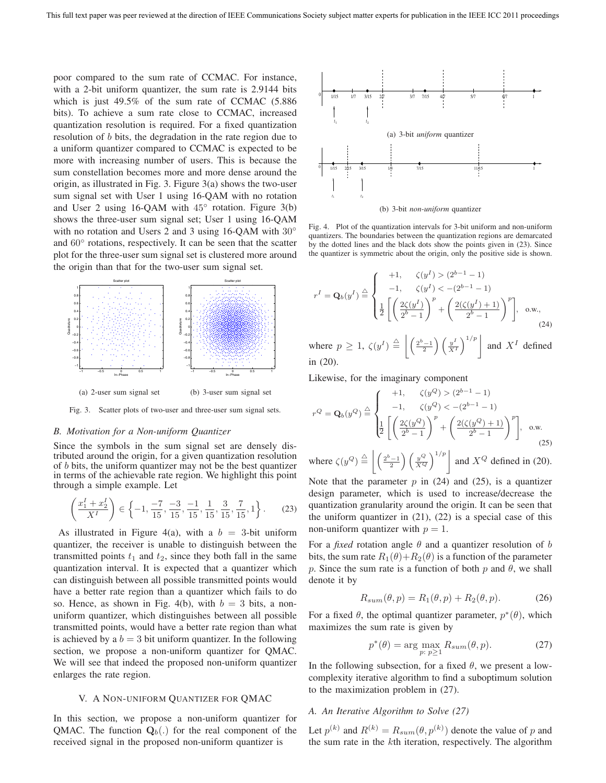poor compared to the sum rate of CCMAC. For instance, with a 2-bit uniform quantizer, the sum rate is 2.9144 bits which is just 49.5% of the sum rate of CCMAC (5.886 bits). To achieve a sum rate close to CCMAC, increased quantization resolution is required. For a fixed quantization resolution of b bits, the degradation in the rate region due to a uniform quantizer compared to CCMAC is expected to be more with increasing number of users. This is because the sum constellation becomes more and more dense around the origin, as illustrated in Fig. 3. Figure 3(a) shows the two-user sum signal set with User 1 using 16-QAM with no rotation and User 2 using 16-QAM with  $45^\circ$  rotation. Figure 3(b) shows the three-user sum signal set; User 1 using 16-QAM with no rotation and Users 2 and 3 using 16-QAM with 30<sup>°</sup> and 60◦ rotations, respectively. It can be seen that the scatter plot for the three-user sum signal set is clustered more around the origin than that for the two-user sum signal set.



Fig. 3. Scatter plots of two-user and three-user sum signal sets.

# *B. Motivation for a Non-uniform Quantizer*

Since the symbols in the sum signal set are densely distributed around the origin, for a given quantization resolution of b bits, the uniform quantizer may not be the best quantizer in terms of the achievable rate region. We highlight this point through a simple example. Let

$$
\left(\frac{x_1^1 + x_2^1}{X^1}\right) \in \left\{-1, \frac{-7}{15}, \frac{-3}{15}, \frac{-1}{15}, \frac{1}{15}, \frac{3}{15}, \frac{7}{15}, 1\right\}.
$$
 (23)

As illustrated in Figure 4(a), with a  $b = 3$ -bit uniform quantizer, the receiver is unable to distinguish between the transmitted points  $t_1$  and  $t_2$ , since they both fall in the same quantization interval. It is expected that a quantizer which can distinguish between all possible transmitted points would have a better rate region than a quantizer which fails to do so. Hence, as shown in Fig. 4(b), with  $b = 3$  bits, a nonuniform quantizer, which distinguishes between all possible transmitted points, would have a better rate region than what is achieved by a  $b = 3$  bit uniform quantizer. In the following section, we propose a non-uniform quantizer for QMAC. We will see that indeed the proposed non-uniform quantizer enlarges the rate region.

## V. A NON-UNIFORM QUANTIZER FOR QMAC

In this section, we propose a non-uniform quantizer for QMAC. The function  $Q_b(.)$  for the real component of the received signal in the proposed non-uniform quantizer is



(b) 3-bit *non-uniform* quantizer

Fig. 4. Plot of the quantization intervals for 3-bit uniform and non-uniform quantizers. The boundaries between the quantization regions are demarcated by the dotted lines and the black dots show the points given in (23). Since the quantizer is symmetric about the origin, only the positive side is shown.

$$
r^{I} = \mathbf{Q}_{b}(y^{I}) \stackrel{\triangle}{=} \begin{cases} +1, & \zeta(y^{I}) > (2^{b-1} - 1) \\ -1, & \zeta(y^{I}) < -(2^{b-1} - 1) \\ \frac{1}{2} \left[ \left( \frac{2\zeta(y^{I})}{2^{b} - 1} \right)^{p} + \left( \frac{2(\zeta(y^{I}) + 1)}{2^{b} - 1} \right)^{p} \right], & \text{o.w.,} \end{cases}
$$
(24)

where  $p \geq 1$ ,  $\zeta(y^I) \stackrel{\triangle}{=}$  $\left| \left( \frac{2^b-1}{2} \right) \left( \frac{y^I}{X^I} \right)^{1/p} \right|$  and  $X^I$  defined in (20).

Likewise, for the imaginary component

$$
r^{Q} = \mathbf{Q}_{b}(y^{Q}) \stackrel{\triangle}{=} \begin{cases} +1, & \zeta(y^{Q}) > (2^{b-1}-1) \\ -1, & \zeta(y^{Q}) < -(2^{b-1}-1) \\ \frac{1}{2} \left[ \left( \frac{2\zeta(y^{Q})}{2^{b}-1} \right)^{p} + \left( \frac{2(\zeta(y^{Q})+1)}{2^{b}-1} \right)^{p} \right], \text{ o.w.} \\ \text{where } \zeta(y^{Q}) \stackrel{\triangle}{=} \left| \left( \frac{2^{b}-1}{2} \right) \left( \frac{y^{Q}}{X^{Q}} \right)^{1/p} \right| \text{ and } X^{Q} \text{ defined in (20).} \end{cases}
$$

where  $\zeta(y^Q) \stackrel{\triangle}{=}$ Note that the parameter  $p$  in (24) and (25), is a quantizer

design parameter, which is used to increase/decrease the quantization granularity around the origin. It can be seen that the uniform quantizer in (21), (22) is a special case of this non-uniform quantizer with  $p = 1$ .

For a *fixed* rotation angle  $\theta$  and a quantizer resolution of b bits, the sum rate  $R_1(\theta) + R_2(\theta)$  is a function of the parameter p. Since the sum rate is a function of both p and  $\theta$ , we shall denote it by

$$
R_{sum}(\theta, p) = R_1(\theta, p) + R_2(\theta, p). \tag{26}
$$

For a fixed  $\theta$ , the optimal quantizer parameter,  $p^*(\theta)$ , which maximizes the sum rate is given by

$$
p^*(\theta) = \underset{p: p \ge 1}{\text{arg max}} R_{sum}(\theta, p). \tag{27}
$$

In the following subsection, for a fixed  $\theta$ , we present a lowcomplexity iterative algorithm to find a suboptimum solution to the maximization problem in (27).

## *A. An Iterative Algorithm to Solve (27)*

Let  $p^{(k)}$  and  $R^{(k)} = R_{sum}(\theta, p^{(k)})$  denote the value of p and<br>the sum rate in the kth iteration, respectively. The algorithm the sum rate in the kth iteration, respectively. The algorithm